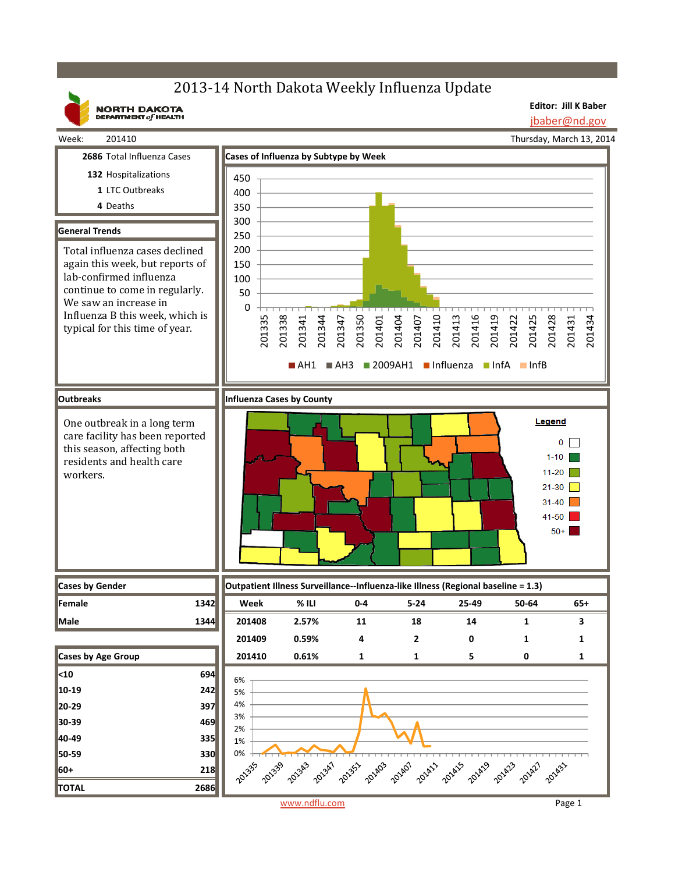## 2013-14 North Dakota Weekly Influenza Update

**NORTH DAKOTA**<br>DEPARTMENT of HEALTH

**Editor: Jill K Baber** jbaber@nd.gov